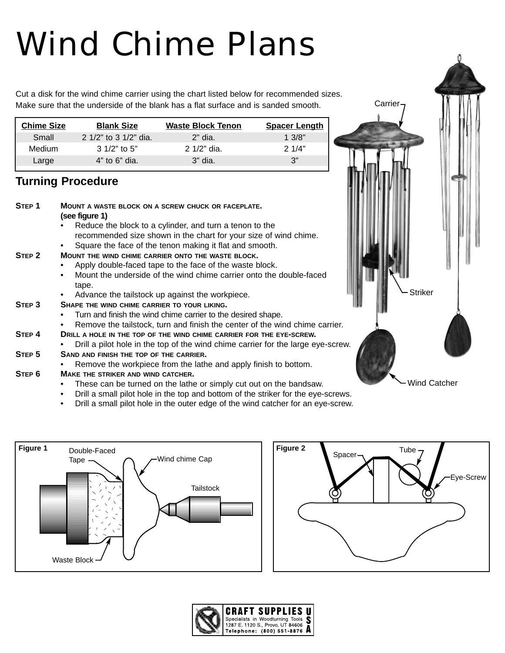# Wind Chime Plans

Cut a disk for the wind chime carrier using the chart listed below for recommended sizes. Make sure that the underside of the blank has a flat surface and is sanded smooth.

| <b>Chime Size</b> | <b>Blank Size</b>     | <b>Waste Block Tenon</b> | <b>Spacer Length</b> |
|-------------------|-----------------------|--------------------------|----------------------|
| Small             | 2 1/2" to 3 1/2" dia. | $2"$ dia.                | 1.3/8"               |
| Medium            | 3 1/2" to 5"          | $2.1/2"$ dia.            | $2 \frac{1}{4}$      |
| Large             | $4"$ to 6" dia.       | $3"$ dia.                | 3"                   |
|                   |                       |                          |                      |

## **Turning Procedure**

| STEP <sub>1</sub> | <b>MOUNT A WASTE BLOCK ON A SCREW CHUCK OR FACEPLATE.</b><br>(see figure 1)<br>Reduce the block to a cylinder, and turn a tenon to the                                                                                                              |  |
|-------------------|-----------------------------------------------------------------------------------------------------------------------------------------------------------------------------------------------------------------------------------------------------|--|
| STEP <sub>2</sub> | recommended size shown in the chart for your size of wind chime.<br>Square the face of the tenon making it flat and smooth.<br><b>MOUNT THE WIND CHIME CARRIER ONTO THE WASTE BLOCK.</b><br>Apply double-faced tape to the face of the waste block. |  |
|                   | Mount the underside of the wind chime carrier onto the double-faced<br>tape.<br><b>Striker</b><br>Advance the tailstock up against the workpiece.                                                                                                   |  |
| STEP 3            | SHAPE THE WIND CHIME CARRIER TO YOUR LIKING.<br>Turn and finish the wind chime carrier to the desired shape.<br>Remove the tailstock, turn and finish the center of the wind chime carrier.<br>$\bullet$                                            |  |
| STEP 4            | DRILL A HOLE IN THE TOP OF THE WIND CHIME CARRIER FOR THE EYE-SCREW.<br>Drill a pilot hole in the top of the wind chime carrier for the large eye-screw.                                                                                            |  |
| STEP <sub>5</sub> | SAND AND FINISH THE TOP OF THE CARRIER.<br>Remove the workpiece from the lathe and apply finish to bottom.                                                                                                                                          |  |
| STEP <sub>6</sub> | MAKE THE STRIKER AND WIND CATCHER.<br><b>Wind Catcher</b><br>These can be turned on the lathe or simply cut out on the bandsaw.<br>Drill a small pilot hole in the top and bottom of the striker for the eye-screws.                                |  |

• Drill a small pilot hole in the outer edge of the wind catcher for an eye-screw.





Carrier